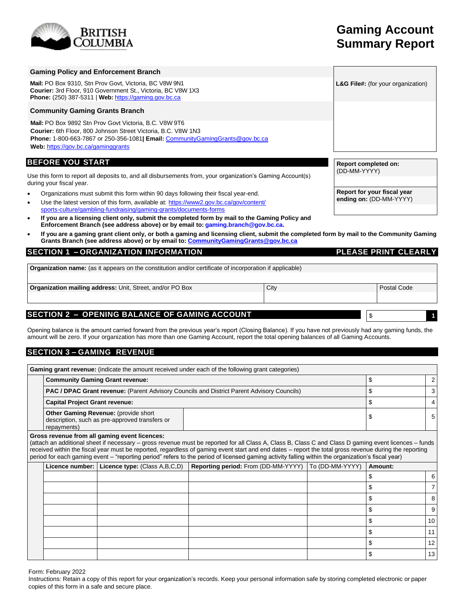# BRITISH

# **Gaming Account Summary Report**

| <b>Gaming Policy and Enforcement Branch</b>                                                                                                                                                                                                                         |                                                        |
|---------------------------------------------------------------------------------------------------------------------------------------------------------------------------------------------------------------------------------------------------------------------|--------------------------------------------------------|
| Mail: PO Box 9310, Stn Prov Govt, Victoria, BC V8W 9N1<br><b>Courier: 3rd Floor, 910 Government St., Victoria, BC V8W 1X3</b><br><b>Phone:</b> (250) 387-5311   Web: $\frac{https://gamma.gov.bc.ca}{https://gamma.gov.bc.ca}$                                      | <b>L&amp;G File#:</b> (for your organization)          |
| <b>Community Gaming Grants Branch</b>                                                                                                                                                                                                                               |                                                        |
| Mail: PO Box 9892 Stn Prov Govt Victoria, B.C. V8W 9T6<br><b>Courier:</b> 6th Floor, 800 Johnson Street Victoria, B.C. V8W 1N3<br><b>Phone:</b> 1-800-663-7867 or 250-356-1081 <b>Email:</b> CommunityGamingGrants@gov.bc.ca<br>Web: https://gov.bc.ca/gaminggrants |                                                        |
| <b>BEFORE YOU START</b>                                                                                                                                                                                                                                             | <b>Report completed on:</b>                            |
| Use this form to report all deposits to, and all disbursements from, your organization's Gaming Account(s)<br>during your fiscal year.                                                                                                                              | (DD-MM-YYYY)                                           |
| Organizations must submit this form within 90 days following their fiscal year-end.<br>$\bullet$<br>$\frac{1}{2}$ les the letect version of this ferm evoluble of bitme: $\frac{1}{2}$ any be equal up the letect                                                   | Report for your fiscal year<br>ending on: (DD-MM-YYYY) |

- Use the latest version of this form, available at: [https://www2.gov.bc.ca/gov/content/](https://www2.gov.bc.ca/gov/content/sports-culture/gambling-fundraising/gaming-grants/documents-forms) [sports-culture/gambling-fundraising/gaming-grants/documents-forms](https://www2.gov.bc.ca/gov/content/sports-culture/gambling-fundraising/gaming-grants/documents-forms)
- **If you are a licensing client only, submit the completed form by mail to the Gaming Policy and Enforcement Branch (see address above) or by email to: [gaming.branch@gov.bc.ca.](mailto:gaming.branch@gov.bc.ca)**
- **If you are a gaming grant client only, or both a gaming and licensing client, submit the completed form by mail to the Community Gaming Grants Branch (see address above) or by email to: [CommunityGamingGrants@gov.bc.ca](mailto:CommunityGamingGrants@gov.bc.ca)**

# **SECTION 1 – ORGANIZATION INFORMATION PLEASE PRINT CLEARLY**

**Organization name:** (as it appears on the constitution and/or certificate of incorporation if applicable)

**Organization mailing address:** Unit, Street, and/or PO Box City **City Postal Code** Postal Code

# **SECTION 2 – OPENING BALANCE OF GAMING ACCOUNT**

Opening balance is the amount carried forward from the previous year's report (Closing Balance). If you have not previously had any gaming funds, the amount will be zero. If your organization has more than one Gaming Account, report the total opening balances of all Gaming Accounts.

# **SECTION 3 – GAMING REVENUE**

| <b>Gaming grant revenue:</b> (indicate the amount received under each of the following grant categories) |  |  |                |  |  |  |  |  |
|----------------------------------------------------------------------------------------------------------|--|--|----------------|--|--|--|--|--|
| <b>Community Gaming Grant revenue:</b>                                                                   |  |  |                |  |  |  |  |  |
| PAC / DPAC Grant revenue: (Parent Advisory Councils and District Parent Advisory Councils)               |  |  | $\mathbf{3}$   |  |  |  |  |  |
| <b>Capital Project Grant revenue:</b>                                                                    |  |  | 4              |  |  |  |  |  |
| Other Gaming Revenue: (provide short<br>description, such as pre-approved transfers or<br>repayments)    |  |  | 5 <sup>1</sup> |  |  |  |  |  |

#### **Gross revenue from all gaming event licences:**

(attach an additional sheet if necessary – gross revenue must be reported for all Class A, Class B, Class C and Class D gaming event licences – funds received within the fiscal year must be reported, regardless of gaming event start and end dates – report the total gross revenue during the reporting period for each gaming event – "reporting period" refers to the period of licensed gaming activity falling within the organization's fiscal year)

|  | ັັ                                            | ີ<br>ັ                                                | ີ | $\overline{\phantom{a}}$ |                   |
|--|-----------------------------------------------|-------------------------------------------------------|---|--------------------------|-------------------|
|  | Licence number: Licence type: (Class A,B,C,D) | Reporting period: From (DD-MM-YYYY)   To (DD-MM-YYYY) |   | Amount:                  |                   |
|  |                                               |                                                       |   |                          | 6                 |
|  |                                               |                                                       |   |                          |                   |
|  |                                               |                                                       |   |                          | 8                 |
|  |                                               |                                                       |   |                          | 9                 |
|  |                                               |                                                       |   |                          | 10                |
|  |                                               |                                                       |   |                          |                   |
|  |                                               |                                                       |   |                          | $12 \overline{ }$ |
|  |                                               |                                                       |   |                          | 13                |

Form: February 2022

Instructions: Retain a copy of this report for your organization's records. Keep your personal information safe by storing completed electronic or paper copies of this form in a safe and secure place.

\$ **1**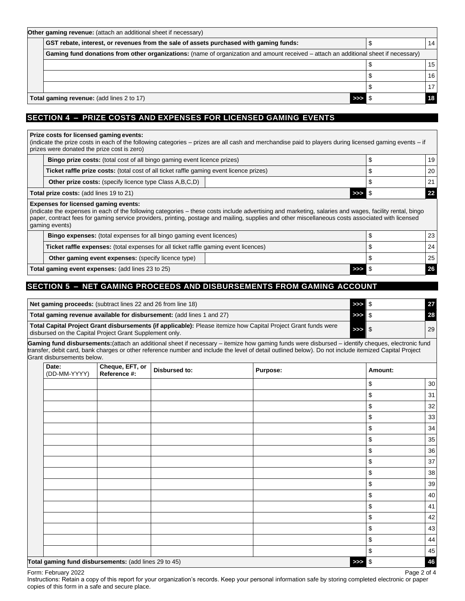| Other gaming revenue: (attach an additional sheet if necessary)                                                                      |  |  |                 |  |  |  |
|--------------------------------------------------------------------------------------------------------------------------------------|--|--|-----------------|--|--|--|
| GST rebate, interest, or revenues from the sale of assets purchased with gaming funds:                                               |  |  | 14 <sub>1</sub> |  |  |  |
| Gaming fund donations from other organizations: (name of organization and amount received – attach an additional sheet if necessary) |  |  |                 |  |  |  |
|                                                                                                                                      |  |  | 15 <sub>1</sub> |  |  |  |
|                                                                                                                                      |  |  | 16 <sup>1</sup> |  |  |  |
|                                                                                                                                      |  |  | 17 <sub>l</sub> |  |  |  |
| Total gaming revenue: (add lines 2 to 17)                                                                                            |  |  |                 |  |  |  |

# **SECTION 4 – PRIZE COSTS AND EXPENSES FOR LICENSED GAMING EVENTS**

#### **Prize costs for licensed gaming events:**

(indicate the prize costs in each of the following categories – prizes are all cash and merchandise paid to players during licensed gaming events – if prizes were donated the prize cost is zero)

| <b>Bingo prize costs:</b> (total cost of all bingo gaming event licence prizes)                 |  |  | 19 |
|-------------------------------------------------------------------------------------------------|--|--|----|
| <b>Ticket raffle prize costs:</b> (total cost of all ticket raffle gaming event licence prizes) |  |  | 20 |
| <b>Other prize costs:</b> (specify licence type Class A, B, C, D)                               |  |  | 21 |
| Total prize costs: (add lines 19 to 21)<br>>>> 8                                                |  |  |    |

#### **Expenses for licensed gaming events:**

(indicate the expenses in each of the following categories – these costs include advertising and marketing, salaries and wages, facility rental, bingo paper, contract fees for gaming service providers, printing, postage and mailing, supplies and other miscellaneous costs associated with licensed gaming events)

| <b>Bingo expenses:</b> (total expenses for all bingo gaming event licences)                 |                    | 23 <sub>1</sub> |
|---------------------------------------------------------------------------------------------|--------------------|-----------------|
| <b>Ticket raffle expenses:</b> (total expenses for all ticket raffle gaming event licences) |                    | 24 <sup>1</sup> |
| <b>Other gaming event expenses:</b> (specify licence type)                                  |                    | 251             |
| Total gaming event expenses: (add lines 23 to 25)                                           | $>>$ $\frac{6}{3}$ |                 |

# **SECTION 5 – NET GAMING PROCEEDS AND DISBURSEMENTS FROM GAMING ACCOUNT**

| Net gaming proceeds: (subtract lines 22 and 26 from line 18)                                                                                                              | >>> IS  | 27 |
|---------------------------------------------------------------------------------------------------------------------------------------------------------------------------|---------|----|
| Total gaming revenue available for disbursement: (add lines 1 and 27)                                                                                                     | >>> IS  | 28 |
| Total Capital Project Grant disbursements (if applicable): Please itemize how Capital Project Grant funds were<br>disbursed on the Capital Project Grant Supplement only. | $>>$ \$ | 29 |
| .                                                                                                                                                                         |         |    |

**Gaming fund disbursements:**(attach an additional sheet if necessary – itemize how gaming funds were disbursed – identify cheques, electronic fund transfer, debit card, bank charges or other reference number and include the level of detail outlined below). Do not include itemized Capital Project Grant disbursements below.

| Date:<br>(DD-MM-YYYY) | Cheque, EFT, or<br>Reference #:                       | <b>Disbursed to:</b> | <b>Purpose:</b> | Amount:  |    |
|-----------------------|-------------------------------------------------------|----------------------|-----------------|----------|----|
|                       |                                                       |                      |                 | \$       | 30 |
|                       |                                                       |                      |                 | \$       | 31 |
|                       |                                                       |                      |                 | \$       | 32 |
|                       |                                                       |                      |                 | \$       | 33 |
|                       |                                                       |                      |                 | \$       | 34 |
|                       |                                                       |                      |                 | \$       | 35 |
|                       |                                                       |                      |                 | \$       | 36 |
|                       |                                                       |                      |                 | \$       | 37 |
|                       |                                                       |                      |                 | \$       | 38 |
|                       |                                                       |                      |                 | \$       | 39 |
|                       |                                                       |                      |                 | \$       | 40 |
|                       |                                                       |                      |                 | \$       | 41 |
|                       |                                                       |                      |                 | \$       | 42 |
|                       |                                                       |                      |                 | \$       | 43 |
|                       |                                                       |                      |                 | \$       | 44 |
|                       |                                                       |                      |                 | \$       | 45 |
|                       | Total gaming fund disbursements: (add lines 29 to 45) |                      |                 | $\gg$ \$ | 46 |

Form: February 2022 Page 2 of 4

Instructions: Retain a copy of this report for your organization's records. Keep your personal information safe by storing completed electronic or paper copies of this form in a safe and secure place.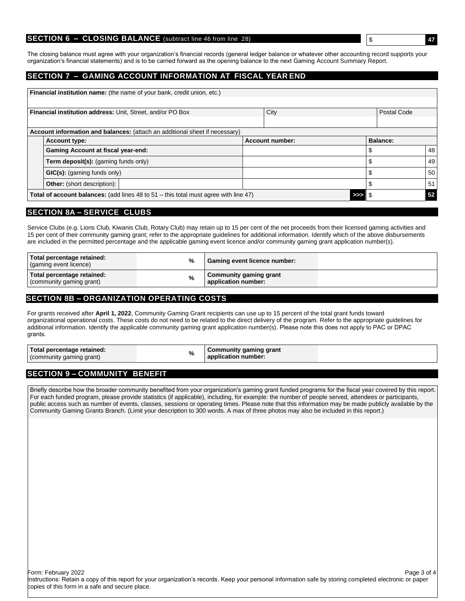#### **SECTION 6 - CLOSING BALANCE** (subtract line 46 from line 28)

The closing balance must agree with your organization's financial records (general ledger balance or whatever other accounting record supports your organization's financial statements) and is to be carried forward as the opening balance to the next Gaming Account Summary Report.

#### **SECTION 7 – GAMING ACCOUNT INFORMATION AT FISCAL YEAR END**

|                                                                                          | <b>Financial institution name:</b> (the name of your bank, credit union, etc.)                               |  |                        |    |          |    |  |  |
|------------------------------------------------------------------------------------------|--------------------------------------------------------------------------------------------------------------|--|------------------------|----|----------|----|--|--|
| City<br><b>Financial institution address: Unit, Street, and/or PO Box</b><br>Postal Code |                                                                                                              |  |                        |    |          |    |  |  |
|                                                                                          |                                                                                                              |  |                        |    |          |    |  |  |
|                                                                                          | Account information and balances: (attach an additional sheet if necessary)                                  |  |                        |    |          |    |  |  |
|                                                                                          | <b>Account type:</b>                                                                                         |  | <b>Account number:</b> |    | Balance: |    |  |  |
|                                                                                          | <b>Gaming Account at fiscal year-end:</b>                                                                    |  |                        | \$ |          | 48 |  |  |
|                                                                                          | <b>Term deposit(s):</b> (gaming funds only)                                                                  |  |                        | S  |          | 49 |  |  |
|                                                                                          | GIC(s): (gaming funds only)                                                                                  |  |                        |    | \$       | 50 |  |  |
|                                                                                          | <b>Other:</b> (short description):                                                                           |  |                        | S  |          | 51 |  |  |
|                                                                                          | 52<br><b>Total of account balances:</b> (add lines 48 to $51 -$ this total must agree with line $47$ )<br>>> |  |                        |    |          |    |  |  |

#### **SECTION 8A – SERVICE CLUBS**

Service Clubs (e.g. Lions Club, Kiwanis Club, Rotary Club) may retain up to 15 per cent of the net proceeds from their licensed gaming activities and 15 per cent of their community gaming grant; refer to the appropriate guidelines for additional information. Identify which of the above disbursements are included in the permitted percentage and the applicable gaming event licence and/or community gaming grant application number(s).

| Total percentage retained:<br>(gaming event licence)   | % | Gaming event licence number:                  |
|--------------------------------------------------------|---|-----------------------------------------------|
| Total percentage retained:<br>(community gaming grant) | % | Community gaming grant<br>application number: |

## **SECTION 8B – ORGANIZATION OPERATING COSTS**

For grants received after **April 1, 2022**, Community Gaming Grant recipients can use up to 15 percent of the total grant funds toward organizational operational costs. These costs do not need to be related to the direct delivery of the program. Refer to the appropriate guidelines for additional information. Identify the applicable community gaming grant application number(s). Please note this does not apply to PAC or DPAC grants.

| Total percentage retained:<br>%<br>' gaming grant,<br>(community | <b>Community gaming grant</b><br>application number: |
|------------------------------------------------------------------|------------------------------------------------------|
|------------------------------------------------------------------|------------------------------------------------------|

# **SECTION 9 – COMMUNITY BENEFIT**

Briefly describe how the broader community benefited from your organization's gaming grant funded programs for the fiscal year covered by this report. For each funded program, please provide statistics (if applicable), including, for example: the number of people served, attendees or participants, public access such as number of events, classes, sessions or operating times. Please note that this information may be made publicly available by the Community Gaming Grants Branch. (Limit your description to 300 words. A max of three photos may also be included in this report.)

Form: February 2022 Page 3 of 4

Instructions: Retain a copy of this report for your organization's records. Keep your personal information safe by storing completed electronic or paper copies of this form in a safe and secure place.

\$ **47**